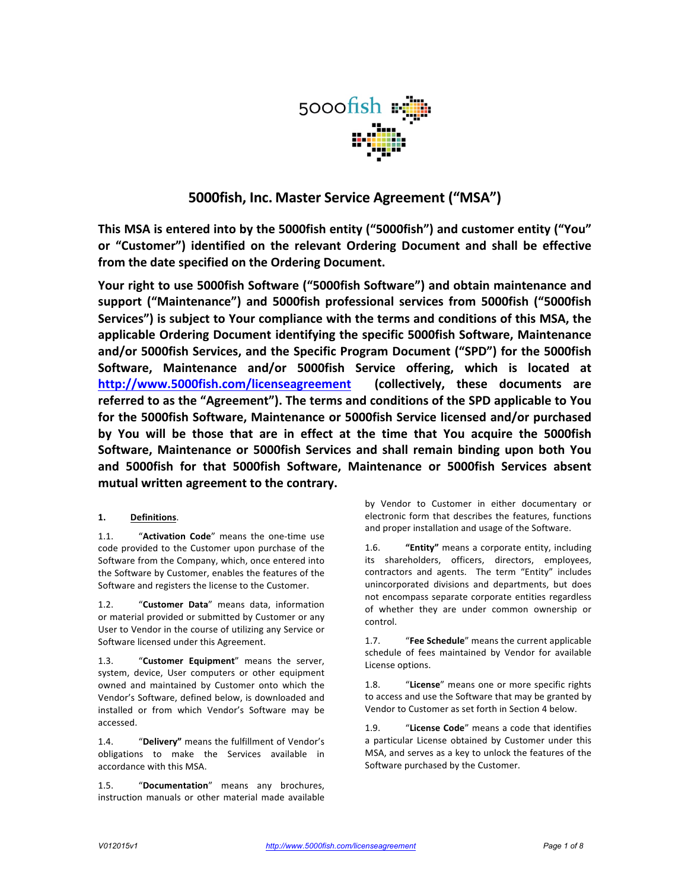

# **5000fish, Inc. Master Service Agreement ("MSA")**

**This MSA** is entered into by the 5000fish entity ("5000fish") and customer entity ("You" **or** "Customer") identified on the relevant Ordering Document and shall be effective from the date specified on the Ordering Document.

Your right to use 5000fish Software ("5000fish Software") and obtain maintenance and support ("Maintenance") and 5000fish professional services from 5000fish ("5000fish Services") is subject to Your compliance with the terms and conditions of this MSA, the applicable Ordering Document identifying the specific 5000fish Software, Maintenance and/or 5000fish Services, and the Specific Program Document ("SPD") for the 5000fish Software, Maintenance and/or 5000fish Service offering, which is located at **http://www.5000fish.com/licenseagreement (collectively, these documents are**  referred to as the "Agreement"). The terms and conditions of the SPD applicable to You for the 5000fish Software, Maintenance or 5000fish Service licensed and/or purchased by You will be those that are in effect at the time that You acquire the 5000fish **Software, Maintenance or 5000fish Services and shall remain binding upon both You and 5000fish for that 5000fish Software, Maintenance or 5000fish Services absent**  mutual written agreement to the contrary.

# **1. Definitions**.

1.1. "Activation Code" means the one-time use code provided to the Customer upon purchase of the Software from the Company, which, once entered into the Software by Customer, enables the features of the Software and registers the license to the Customer.

1.2. "Customer Data" means data, information or material provided or submitted by Customer or any User to Vendor in the course of utilizing any Service or Software licensed under this Agreement.

1.3. "Customer Equipment" means the server, system, device, User computers or other equipment owned and maintained by Customer onto which the Vendor's Software, defined below, is downloaded and installed or from which Vendor's Software may be accessed.

1.4. "Delivery" means the fulfillment of Vendor's obligations to make the Services available in accordance with this MSA.

1.5. "Documentation" means any brochures, instruction manuals or other material made available

by Vendor to Customer in either documentary or electronic form that describes the features, functions and proper installation and usage of the Software.

1.6. "Entity" means a corporate entity, including its shareholders, officers, directors, employees, contractors and agents. The term "Entity" includes unincorporated divisions and departments, but does not encompass separate corporate entities regardless of whether they are under common ownership or control.

1.7. "Fee Schedule" means the current applicable schedule of fees maintained by Vendor for available License options.

1.8. "License" means one or more specific rights to access and use the Software that may be granted by Vendor to Customer as set forth in Section 4 below.

1.9. "License Code" means a code that identifies a particular License obtained by Customer under this MSA, and serves as a key to unlock the features of the Software purchased by the Customer.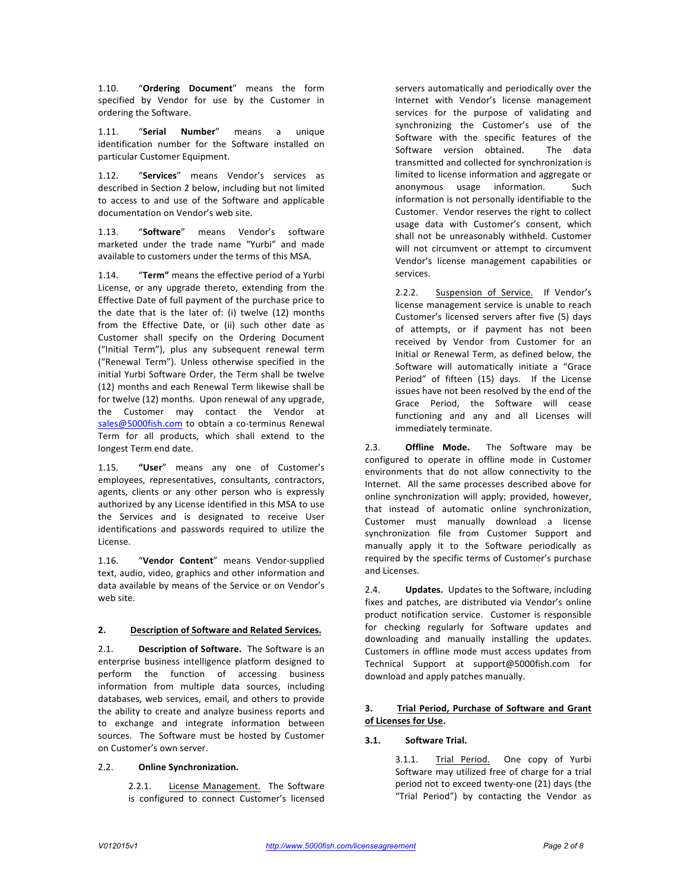1.10. "Ordering Document" means the form specified by Vendor for use by the Customer in ordering the Software.

1.11. "Serial Number" means a unique identification number for the Software installed on particular Customer Equipment.

1.12. "**Services**" means Vendor's services as described in Section 2 below, including but not limited to access to and use of the Software and applicable documentation on Vendor's web site.

1.13. "**Software**" means Vendor's software marketed under the trade name "Yurbi" and made available to customers under the terms of this MSA.

1.14. "Term" means the effective period of a Yurbi License, or any upgrade thereto, extending from the Effective Date of full payment of the purchase price to the date that is the later of: (i) twelve  $(12)$  months from the Effective Date, or (ii) such other date as Customer shall specify on the Ordering Document ("Initial Term"), plus any subsequent renewal term ("Renewal Term"). Unless otherwise specified in the initial Yurbi Software Order, the Term shall be twelve (12) months and each Renewal Term likewise shall be for twelve (12) months. Upon renewal of any upgrade, the Customer may contact the Vendor at sales@5000fish.com to obtain a co-terminus Renewal Term for all products, which shall extend to the longest Term end date.

1.15. "User" means any one of Customer's employees, representatives, consultants, contractors, agents, clients or any other person who is expressly authorized by any License identified in this MSA to use the Services and is designated to receive User identifications and passwords required to utilize the License.

1.16. "Vendor Content" means Vendor-supplied text, audio, video, graphics and other information and data available by means of the Service or on Vendor's web site.

### **2. Description of Software and Related Services.**

2.1. **Description of Software.** The Software is an enterprise business intelligence platform designed to perform the function of accessing business information from multiple data sources, including databases, web services, email, and others to provide the ability to create and analyze business reports and to exchange and integrate information between sources. The Software must be hosted by Customer on Customer's own server.

### 2.2. **Online Synchronization.**

2.2.1. License Management. The Software is configured to connect Customer's licensed servers automatically and periodically over the Internet with Vendor's license management services for the purpose of validating and synchronizing the Customer's use of the Software with the specific features of the Software version obtained. The data transmitted and collected for synchronization is limited to license information and aggregate or anonymous usage information. Such information is not personally identifiable to the Customer. Vendor reserves the right to collect usage data with Customer's consent, which shall not be unreasonably withheld. Customer will not circumvent or attempt to circumvent Vendor's license management capabilities or services.

2.2.2. Suspension of Service. If Vendor's license management service is unable to reach Customer's licensed servers after five (5) days of attempts, or if payment has not been received by Vendor from Customer for an Initial or Renewal Term, as defined below, the Software will automatically initiate a "Grace Period" of fifteen (15) days. If the License issues have not been resolved by the end of the Grace Period, the Software will cease functioning and any and all Licenses will immediately terminate.

2.3. **Offline Mode.** The Software may be configured to operate in offline mode in Customer environments that do not allow connectivity to the Internet. All the same processes described above for online synchronization will apply; provided, however, that instead of automatic online synchronization, Customer must manually download a license synchronization file from Customer Support and manually apply it to the Software periodically as required by the specific terms of Customer's purchase and Licenses.

2.4. **Updates.** Updates to the Software, including fixes and patches, are distributed via Vendor's online product notification service. Customer is responsible for checking regularly for Software updates and downloading and manually installing the updates. Customers in offline mode must access updates from Technical Support at support@5000fish.com for download and apply patches manually.

### **3. Trial Period, Purchase of Software and Grant of Licenses for Use.**

## **3.1. Software Trial.**

3.1.1. Trial Period. One copy of Yurbi Software may utilized free of charge for a trial period not to exceed twenty-one (21) days (the "Trial Period") by contacting the Vendor as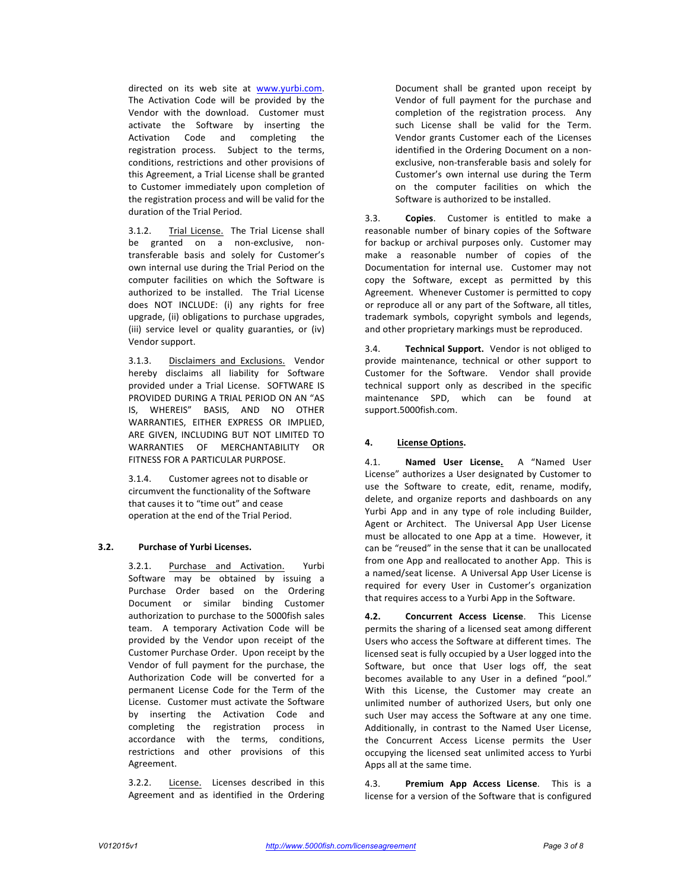directed on its web site at www.yurbi.com. The Activation Code will be provided by the Vendor with the download. Customer must activate the Software by inserting the Activation Code and completing the registration process. Subject to the terms, conditions, restrictions and other provisions of this Agreement, a Trial License shall be granted to Customer immediately upon completion of the registration process and will be valid for the duration of the Trial Period.

3.1.2. Trial License. The Trial License shall be granted on a non-exclusive, nontransferable basis and solely for Customer's own internal use during the Trial Period on the computer facilities on which the Software is authorized to be installed. The Trial License does NOT INCLUDE: (i) any rights for free upgrade, (ii) obligations to purchase upgrades, (iii) service level or quality guaranties, or (iv) Vendor support.

3.1.3. Disclaimers and Exclusions. Vendor hereby disclaims all liability for Software provided under a Trial License. SOFTWARE IS PROVIDED DURING A TRIAL PERIOD ON AN "AS IS, WHEREIS" BASIS, AND NO OTHER WARRANTIES, EITHER EXPRESS OR IMPLIED. ARE GIVEN, INCLUDING BUT NOT LIMITED TO WARRANTIES OF MERCHANTABILITY OR FITNESS FOR A PARTICULAR PURPOSE.

3.1.4. Customer agrees not to disable or circumvent the functionality of the Software that causes it to "time out" and cease operation at the end of the Trial Period.

### **3.2. Purchase of Yurbi Licenses.**

3.2.1. Purchase and Activation. Yurbi Software may be obtained by issuing a Purchase Order based on the Ordering Document or similar binding Customer authorization to purchase to the 5000fish sales team. A temporary Activation Code will be provided by the Vendor upon receipt of the Customer Purchase Order. Upon receipt by the Vendor of full payment for the purchase, the Authorization Code will be converted for a permanent License Code for the Term of the License. Customer must activate the Software by inserting the Activation Code and completing the registration process in accordance with the terms, conditions, restrictions and other provisions of this Agreement.

3.2.2. License. Licenses described in this Agreement and as identified in the Ordering Document shall be granted upon receipt by Vendor of full payment for the purchase and completion of the registration process. Any such License shall be valid for the Term. Vendor grants Customer each of the Licenses identified in the Ordering Document on a nonexclusive, non-transferable basis and solely for Customer's own internal use during the Term on the computer facilities on which the Software is authorized to be installed.

3.3. **Copies**. Customer is entitled to make a reasonable number of binary copies of the Software for backup or archival purposes only. Customer may make a reasonable number of copies of the Documentation for internal use. Customer may not copy the Software, except as permitted by this Agreement. Whenever Customer is permitted to copy or reproduce all or any part of the Software, all titles, trademark symbols, copyright symbols and legends, and other proprietary markings must be reproduced.

3.4. **Technical Support.** Vendor is not obliged to provide maintenance, technical or other support to Customer for the Software. Vendor shall provide technical support only as described in the specific maintenance SPD, which can be found at support.5000fish.com.

### **4. License Options.**

4.1. **Named User License.** A "Named User License" authorizes a User designated by Customer to use the Software to create, edit, rename, modify, delete, and organize reports and dashboards on any Yurbi App and in any type of role including Builder, Agent or Architect. The Universal App User License must be allocated to one App at a time. However, it can be "reused" in the sense that it can be unallocated from one App and reallocated to another App. This is a named/seat license. A Universal App User License is required for every User in Customer's organization that requires access to a Yurbi App in the Software.

**4.2. Concurrent Access License**. This License permits the sharing of a licensed seat among different Users who access the Software at different times. The licensed seat is fully occupied by a User logged into the Software, but once that User logs off, the seat becomes available to any User in a defined "pool." With this License, the Customer may create an unlimited number of authorized Users, but only one such User may access the Software at any one time. Additionally, in contrast to the Named User License, the Concurrent Access License permits the User occupying the licensed seat unlimited access to Yurbi Apps all at the same time.

4.3. **Premium App Access License**. This is a license for a version of the Software that is configured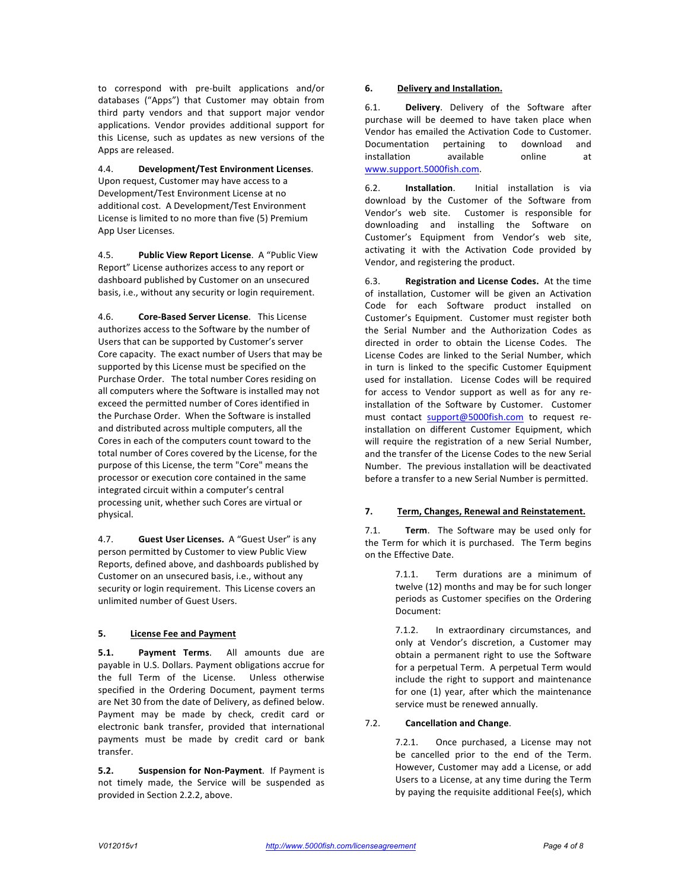to correspond with pre-built applications and/or databases ("Apps") that Customer may obtain from third party vendors and that support major vendor applications. Vendor provides additional support for this License, such as updates as new versions of the Apps are released.

4.4. **Development/Test Environment Licenses**. Upon request, Customer may have access to a Development/Test Environment License at no additional cost. A Development/Test Environment License is limited to no more than five (5) Premium App User Licenses.

4.5. **Public View Report License.** A "Public View Report" License authorizes access to any report or dashboard published by Customer on an unsecured basis, i.e., without any security or login requirement.

4.6. **Core-Based Server License**. This License authorizes access to the Software by the number of Users that can be supported by Customer's server Core capacity. The exact number of Users that may be supported by this License must be specified on the Purchase Order. The total number Cores residing on all computers where the Software is installed may not exceed the permitted number of Cores identified in the Purchase Order. When the Software is installed and distributed across multiple computers, all the Cores in each of the computers count toward to the total number of Cores covered by the License, for the purpose of this License, the term "Core" means the processor or execution core contained in the same integrated circuit within a computer's central processing unit, whether such Cores are virtual or physical.

4.7. **Guest User Licenses.** A "Guest User" is any person permitted by Customer to view Public View Reports, defined above, and dashboards published by Customer on an unsecured basis, i.e., without any security or login requirement. This License covers an unlimited number of Guest Users.

### **5. License Fee and Payment**

**5.1. Payment Terms**. All amounts due are payable in U.S. Dollars. Payment obligations accrue for the full Term of the License. Unless otherwise specified in the Ordering Document, payment terms are Net 30 from the date of Delivery, as defined below. Payment may be made by check, credit card or electronic bank transfer, provided that international payments must be made by credit card or bank transfer.

**5.2. Suspension for Non-Payment**. If Payment is not timely made, the Service will be suspended as provided in Section 2.2.2, above.

## **6. Delivery and Installation.**

6.1. **Delivery**. Delivery of the Software after purchase will be deemed to have taken place when Vendor has emailed the Activation Code to Customer. Documentation pertaining to download and installation available online at www.support.5000fish.com.

6.2. **Installation**. Initial installation is via download by the Customer of the Software from Vendor's web site. Customer is responsible for downloading and installing the Software on Customer's Equipment from Vendor's web site, activating it with the Activation Code provided by Vendor, and registering the product.

6.3. **Registration and License Codes.** At the time of installation, Customer will be given an Activation Code for each Software product installed on Customer's Equipment. Customer must register both the Serial Number and the Authorization Codes as directed in order to obtain the License Codes. The License Codes are linked to the Serial Number, which in turn is linked to the specific Customer Equipment used for installation. License Codes will be required for access to Vendor support as well as for any reinstallation of the Software by Customer. Customer must contact support@5000fish.com to request reinstallation on different Customer Equipment, which will require the registration of a new Serial Number, and the transfer of the License Codes to the new Serial Number. The previous installation will be deactivated before a transfer to a new Serial Number is permitted.

## **7. Term, Changes, Renewal and Reinstatement.**

7.1. **Term.** The Software may be used only for the Term for which it is purchased. The Term begins on the Effective Date.

> 7.1.1. Term durations are a minimum of twelve (12) months and may be for such longer periods as Customer specifies on the Ordering Document:

> 7.1.2. In extraordinary circumstances, and only at Vendor's discretion, a Customer may obtain a permanent right to use the Software for a perpetual Term. A perpetual Term would include the right to support and maintenance for one (1) year, after which the maintenance service must be renewed annually.

### 7.2. **Cancellation and Change.**

7.2.1. Once purchased, a License may not be cancelled prior to the end of the Term. However, Customer may add a License, or add Users to a License, at any time during the Term by paying the requisite additional Fee(s), which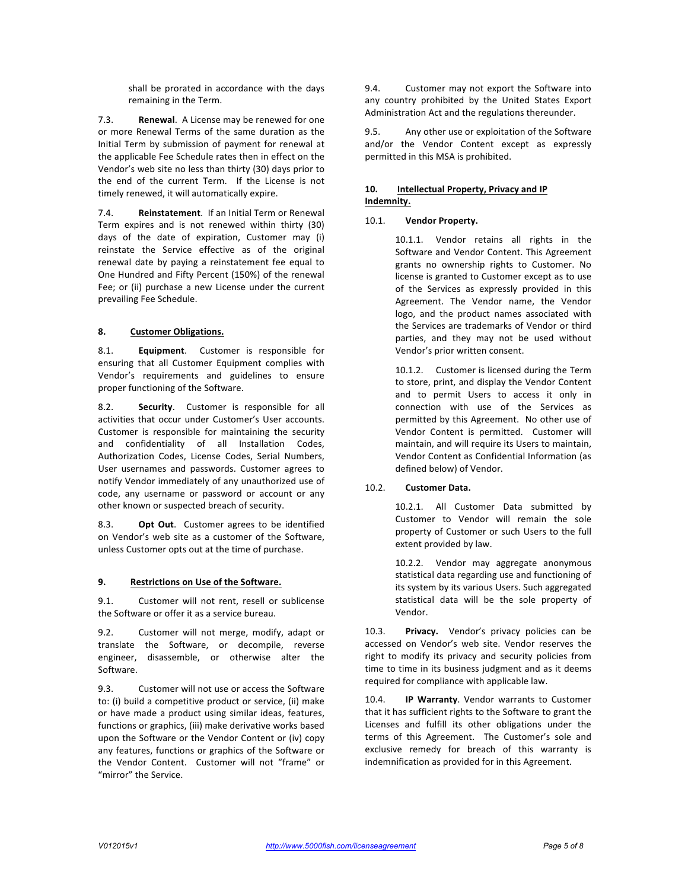shall be prorated in accordance with the days remaining in the Term.

7.3. **Renewal**. A License may be renewed for one or more Renewal Terms of the same duration as the Initial Term by submission of payment for renewal at the applicable Fee Schedule rates then in effect on the Vendor's web site no less than thirty (30) days prior to the end of the current Term. If the License is not timely renewed, it will automatically expire.

7.4. **Reinstatement**. If an Initial Term or Renewal Term expires and is not renewed within thirty (30) days of the date of expiration, Customer may (i) reinstate the Service effective as of the original renewal date by paying a reinstatement fee equal to One Hundred and Fifty Percent (150%) of the renewal Fee; or (ii) purchase a new License under the current prevailing Fee Schedule.

## **8. Customer Obligations.**

8.1. **Equipment**. Customer is responsible for ensuring that all Customer Equipment complies with Vendor's requirements and guidelines to ensure proper functioning of the Software.

8.2. **Security**. Customer is responsible for all activities that occur under Customer's User accounts. Customer is responsible for maintaining the security and confidentiality of all Installation Codes, Authorization Codes, License Codes, Serial Numbers, User usernames and passwords. Customer agrees to notify Vendor immediately of any unauthorized use of code, any username or password or account or any other known or suspected breach of security.

8.3. **Opt Out**. Customer agrees to be identified on Vendor's web site as a customer of the Software, unless Customer opts out at the time of purchase.

### **9.** Restrictions on Use of the Software.

9.1. Customer will not rent, resell or sublicense the Software or offer it as a service bureau.

9.2. Customer will not merge, modify, adapt or translate the Software, or decompile, reverse engineer, disassemble, or otherwise alter the Software.

9.3. Customer will not use or access the Software to: (i) build a competitive product or service, (ii) make or have made a product using similar ideas, features, functions or graphics, (iii) make derivative works based upon the Software or the Vendor Content or (iv) copy any features, functions or graphics of the Software or the Vendor Content. Customer will not "frame" or "mirror" the Service.

9.4. Customer may not export the Software into any country prohibited by the United States Export Administration Act and the regulations thereunder.

9.5. Any other use or exploitation of the Software and/or the Vendor Content except as expressly permitted in this MSA is prohibited.

## 10. **Intellectual Property, Privacy and IP Indemnity.**

#### 10.1. **Vendor Property.**

10.1.1. Vendor retains all rights in the Software and Vendor Content. This Agreement grants no ownership rights to Customer. No license is granted to Customer except as to use of the Services as expressly provided in this Agreement. The Vendor name, the Vendor logo, and the product names associated with the Services are trademarks of Vendor or third parties, and they may not be used without Vendor's prior written consent.

10.1.2. Customer is licensed during the Term to store, print, and display the Vendor Content and to permit Users to access it only in connection with use of the Services as permitted by this Agreement. No other use of Vendor Content is permitted. Customer will maintain, and will require its Users to maintain, Vendor Content as Confidential Information (as defined below) of Vendor.

### 10.2. **Customer Data.**

10.2.1. All Customer Data submitted by Customer to Vendor will remain the sole property of Customer or such Users to the full extent provided by law.

10.2.2. Vendor may aggregate anonymous statistical data regarding use and functioning of its system by its various Users. Such aggregated statistical data will be the sole property of Vendor.

10.3. **Privacy.** Vendor's privacy policies can be accessed on Vendor's web site. Vendor reserves the right to modify its privacy and security policies from time to time in its business judgment and as it deems required for compliance with applicable law.

10.4. **IP Warranty**. Vendor warrants to Customer that it has sufficient rights to the Software to grant the Licenses and fulfill its other obligations under the terms of this Agreement. The Customer's sole and exclusive remedy for breach of this warranty is indemnification as provided for in this Agreement.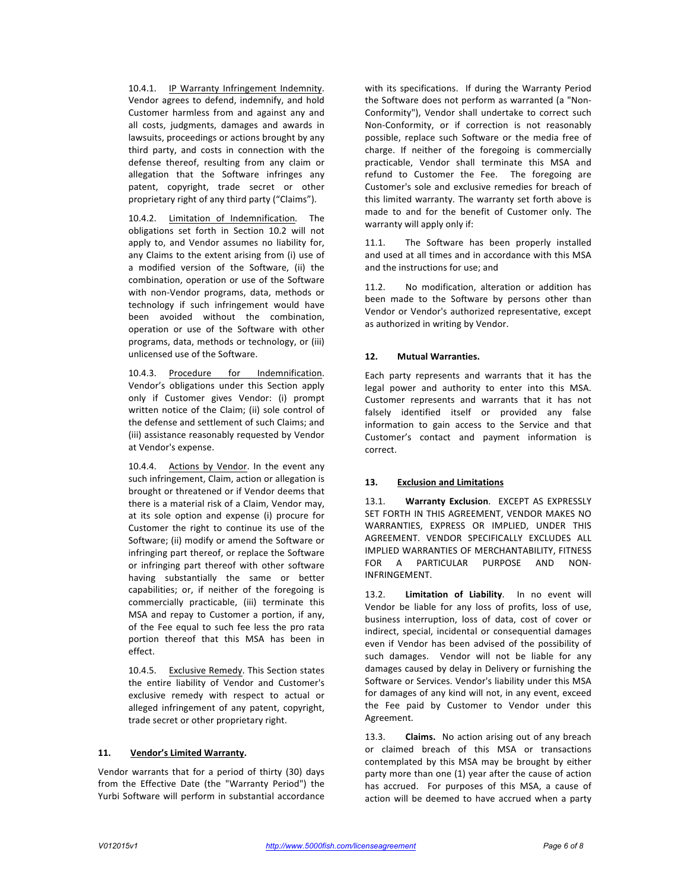10.4.1. IP Warranty Infringement Indemnity. Vendor agrees to defend, indemnify, and hold Customer harmless from and against any and all costs, judgments, damages and awards in lawsuits, proceedings or actions brought by any third party, and costs in connection with the defense thereof, resulting from any claim or allegation that the Software infringes any patent, copyright, trade secret or other proprietary right of any third party ("Claims").

10.4.2. Limitation of Indemnification. The obligations set forth in Section 10.2 will not apply to, and Vendor assumes no liability for, any Claims to the extent arising from (i) use of a modified version of the Software, (ii) the combination, operation or use of the Software with non-Vendor programs, data, methods or technology if such infringement would have been avoided without the combination, operation or use of the Software with other programs, data, methods or technology, or (iii) unlicensed use of the Software.

10.4.3. Procedure for Indemnification. Vendor's obligations under this Section apply only if Customer gives Vendor: (i) prompt written notice of the Claim; (ii) sole control of the defense and settlement of such Claims; and (iii) assistance reasonably requested by Vendor at Vendor's expense.

10.4.4. Actions by Vendor. In the event any such infringement, Claim, action or allegation is brought or threatened or if Vendor deems that there is a material risk of a Claim, Vendor may, at its sole option and expense (i) procure for Customer the right to continue its use of the Software; (ii) modify or amend the Software or infringing part thereof, or replace the Software or infringing part thereof with other software having substantially the same or better capabilities; or, if neither of the foregoing is commercially practicable, (iii) terminate this MSA and repay to Customer a portion, if any, of the Fee equal to such fee less the pro rata portion thereof that this MSA has been in effect.

10.4.5. Exclusive Remedy. This Section states the entire liability of Vendor and Customer's exclusive remedy with respect to actual or alleged infringement of any patent, copyright, trade secret or other proprietary right.

### 11. **Vendor's Limited Warranty.**

Vendor warrants that for a period of thirty (30) days from the Effective Date (the "Warranty Period") the Yurbi Software will perform in substantial accordance

with its specifications. If during the Warranty Period the Software does not perform as warranted (a "Non-Conformity"), Vendor shall undertake to correct such Non-Conformity, or if correction is not reasonably possible, replace such Software or the media free of charge. If neither of the foregoing is commercially practicable, Vendor shall terminate this MSA and refund to Customer the Fee. The foregoing are Customer's sole and exclusive remedies for breach of this limited warranty. The warranty set forth above is made to and for the benefit of Customer only. The warranty will apply only if:

11.1. The Software has been properly installed and used at all times and in accordance with this MSA and the instructions for use; and

11.2. No modification, alteration or addition has been made to the Software by persons other than Vendor or Vendor's authorized representative, except as authorized in writing by Vendor.

#### **12. Mutual Warranties.**

Each party represents and warrants that it has the legal power and authority to enter into this MSA. Customer represents and warrants that it has not falsely identified itself or provided any false information to gain access to the Service and that Customer's contact and payment information is correct.

### **13. Exclusion and Limitations**

13.1. **Warranty Exclusion**. EXCEPT AS EXPRESSLY SET FORTH IN THIS AGREEMENT, VENDOR MAKES NO WARRANTIES, EXPRESS OR IMPLIED, UNDER THIS AGREEMENT. VENDOR SPECIFICALLY EXCLUDES ALL IMPLIED WARRANTIES OF MERCHANTABILITY, FITNESS FOR A PARTICULAR PURPOSE AND NON-INFRINGEMENT.

13.2. **Limitation of Liability**. In no event will Vendor be liable for any loss of profits, loss of use, business interruption, loss of data, cost of cover or indirect, special, incidental or consequential damages even if Vendor has been advised of the possibility of such damages. Vendor will not be liable for any damages caused by delay in Delivery or furnishing the Software or Services. Vendor's liability under this MSA for damages of any kind will not, in any event, exceed the Fee paid by Customer to Vendor under this Agreement.

13.3. **Claims.** No action arising out of any breach or claimed breach of this MSA or transactions contemplated by this MSA may be brought by either party more than one (1) year after the cause of action has accrued. For purposes of this MSA, a cause of action will be deemed to have accrued when a party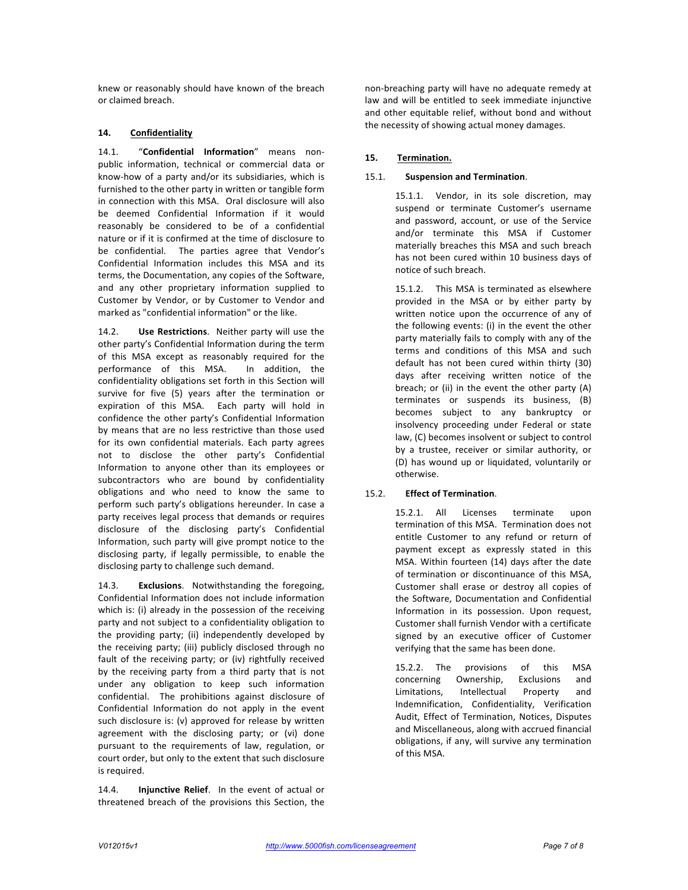knew or reasonably should have known of the breach or claimed breach.

## **14. Confidentiality**

14.1. "Confidential Information" means nonpublic information, technical or commercial data or know-how of a party and/or its subsidiaries, which is furnished to the other party in written or tangible form in connection with this MSA. Oral disclosure will also be deemed Confidential Information if it would reasonably be considered to be of a confidential nature or if it is confirmed at the time of disclosure to be confidential. The parties agree that Vendor's Confidential Information includes this MSA and its terms, the Documentation, any copies of the Software, and any other proprietary information supplied to Customer by Vendor, or by Customer to Vendor and marked as "confidential information" or the like.

14.2. **Use Restrictions**. Neither party will use the other party's Confidential Information during the term of this MSA except as reasonably required for the performance of this MSA. In addition, the confidentiality obligations set forth in this Section will survive for five (5) years after the termination or expiration of this MSA. Each party will hold in confidence the other party's Confidential Information by means that are no less restrictive than those used for its own confidential materials. Each party agrees not to disclose the other party's Confidential Information to anyone other than its employees or subcontractors who are bound by confidentiality obligations and who need to know the same to perform such party's obligations hereunder. In case a party receives legal process that demands or requires disclosure of the disclosing party's Confidential Information, such party will give prompt notice to the disclosing party, if legally permissible, to enable the disclosing party to challenge such demand.

14.3. **Exclusions**. Notwithstanding the foregoing, Confidential Information does not include information which is: (i) already in the possession of the receiving party and not subject to a confidentiality obligation to the providing party; (ii) independently developed by the receiving party; (iii) publicly disclosed through no fault of the receiving party; or (iv) rightfully received by the receiving party from a third party that is not under any obligation to keep such information confidential. The prohibitions against disclosure of Confidential Information do not apply in the event such disclosure is: (v) approved for release by written agreement with the disclosing party; or (vi) done pursuant to the requirements of law, regulation, or court order, but only to the extent that such disclosure is required.

14.4. **Injunctive Relief**. In the event of actual or threatened breach of the provisions this Section, the

non-breaching party will have no adequate remedy at law and will be entitled to seek immediate injunctive and other equitable relief, without bond and without the necessity of showing actual money damages.

# **15. Termination.**

## 15.1. **Suspension and Termination.**

15.1.1. Vendor, in its sole discretion, may suspend or terminate Customer's username and password, account, or use of the Service and/or terminate this MSA if Customer materially breaches this MSA and such breach has not been cured within 10 business days of notice of such breach.

15.1.2. This MSA is terminated as elsewhere provided in the MSA or by either party by written notice upon the occurrence of any of the following events: (i) in the event the other party materially fails to comply with any of the terms and conditions of this MSA and such default has not been cured within thirty (30) days after receiving written notice of the breach; or (ii) in the event the other party  $(A)$ terminates or suspends its business, (B) becomes subject to any bankruptcy or insolvency proceeding under Federal or state law, (C) becomes insolvent or subject to control by a trustee, receiver or similar authority, or (D) has wound up or liquidated, voluntarily or otherwise.

### 15.2. **Effect of Termination**.

15.2.1. All Licenses terminate upon termination of this MSA. Termination does not entitle Customer to any refund or return of payment except as expressly stated in this MSA. Within fourteen (14) days after the date of termination or discontinuance of this MSA, Customer shall erase or destroy all copies of the Software, Documentation and Confidential Information in its possession. Upon request, Customer shall furnish Vendor with a certificate signed by an executive officer of Customer verifying that the same has been done.

15.2.2. The provisions of this MSA concerning Ownership, Exclusions and Limitations, Intellectual Property and Indemnification, Confidentiality, Verification Audit, Effect of Termination, Notices, Disputes and Miscellaneous, along with accrued financial obligations, if any, will survive any termination of this MSA.